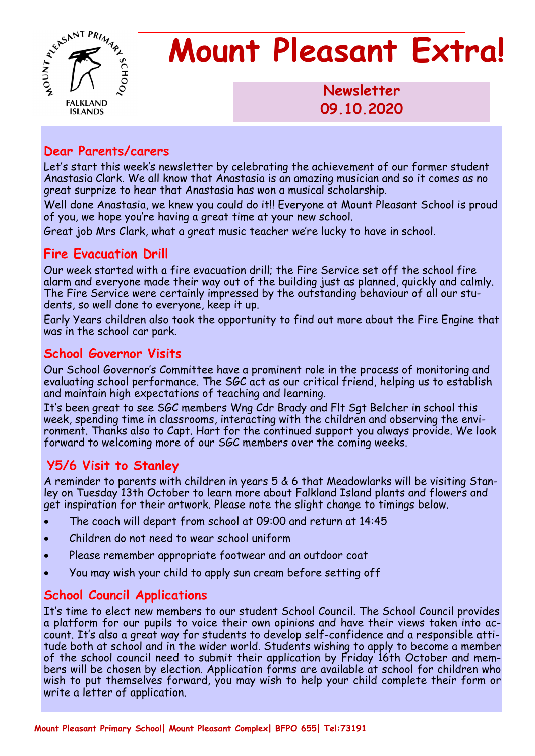

**Newsletter 1986 09.10.2020** 

### **Dear Parents/carers**

Let's start this week's newsletter by celebrating the achievement of our former student Anastasia Clark. We all know that Anastasia is an amazing musician and so it comes as no great surprize to hear that Anastasia has won a musical scholarship.

Well done Anastasia, we knew you could do it!! Everyone at Mount Pleasant School is proud of you, we hope you're having a great time at your new school.

Great job Mrs Clark, what a great music teacher we're lucky to have in school.

## **Fire Evacuation Drill**

Our week started with a fire evacuation drill; the Fire Service set off the school fire alarm and everyone made their way out of the building just as planned, quickly and calmly. The Fire Service were certainly impressed by the outstanding behaviour of all our students, so well done to everyone, keep it up.

Early Years children also took the opportunity to find out more about the Fire Engine that was in the school car park.

### **School Governor Visits**

Our School Governor's Committee have a prominent role in the process of monitoring and evaluating school performance. The SGC act as our critical friend, helping us to establish and maintain high expectations of teaching and learning.

It's been great to see SGC members Wng Cdr Brady and Flt Sgt Belcher in school this week, spending time in classrooms, interacting with the children and observing the environment. Thanks also to Capt. Hart for the continued support you always provide. We look forward to welcoming more of our SGC members over the coming weeks.

## **Y5/6 Visit to Stanley**

A reminder to parents with children in years 5 & 6 that Meadowlarks will be visiting Stanley on Tuesday 13th October to learn more about Falkland Island plants and flowers and get inspiration for their artwork. Please note the slight change to timings below.

- The coach will depart from school at 09:00 and return at 14:45
- Children do not need to wear school uniform
- Please remember appropriate footwear and an outdoor coat
- You may wish your child to apply sun cream before setting off

## **School Council Applications**

It's time to elect new members to our student School Council. The School Council provides a platform for our pupils to voice their own opinions and have their views taken into account. It's also a great way for students to develop self-confidence and a responsible attitude both at school and in the wider world. Students wishing to apply to become a member of the school council need to submit their application by Friday 16th October and members will be chosen by election. Application forms are available at school for children who wish to put themselves forward, you may wish to help your child complete their form or write a letter of application.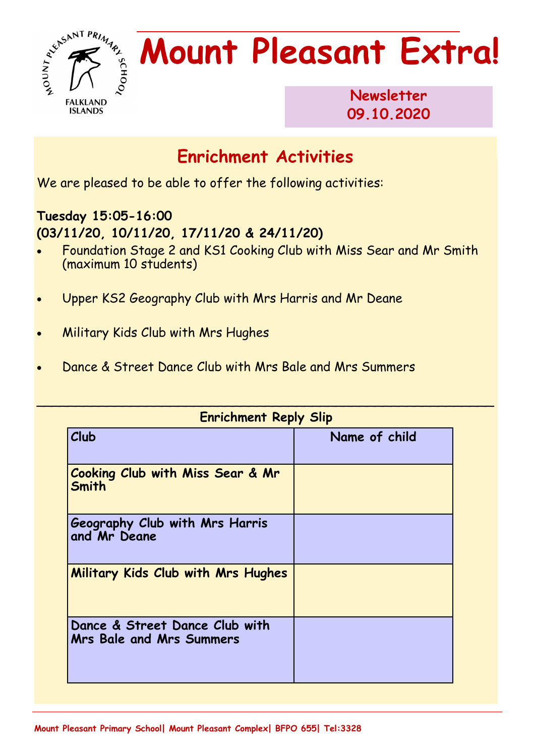

**Newsletter 09.10.2020** 

## **Enrichment Activities**

We are pleased to be able to offer the following activities:

## **Tuesday 15:05-16:00 (03/11/20, 10/11/20, 17/11/20 & 24/11/20)**

- Foundation Stage 2 and KS1 Cooking Club with Miss Sear and Mr Smith (maximum 10 students)
- Upper KS2 Geography Club with Mrs Harris and Mr Deane
- Military Kids Club with Mrs Hughes
- Dance & Street Dance Club with Mrs Bale and Mrs Summers

| <b>Enrichment Reply Slip</b>                                      |               |
|-------------------------------------------------------------------|---------------|
| Club                                                              | Name of child |
| <b>Cooking Club with Miss Sear &amp; Mr</b><br>Smith              |               |
| Geography Club with Mrs Harris<br>and Mr Deane                    |               |
| Military Kids Club with Mrs Hughes                                |               |
| Dance & Street Dance Club with<br><b>Mrs Bale and Mrs Summers</b> |               |

\_\_\_\_\_\_\_\_\_\_\_\_\_\_\_\_\_\_\_\_\_\_\_\_\_\_\_\_\_\_\_\_\_\_\_\_\_\_\_\_\_\_\_\_\_\_\_\_\_\_\_\_\_\_\_\_\_\_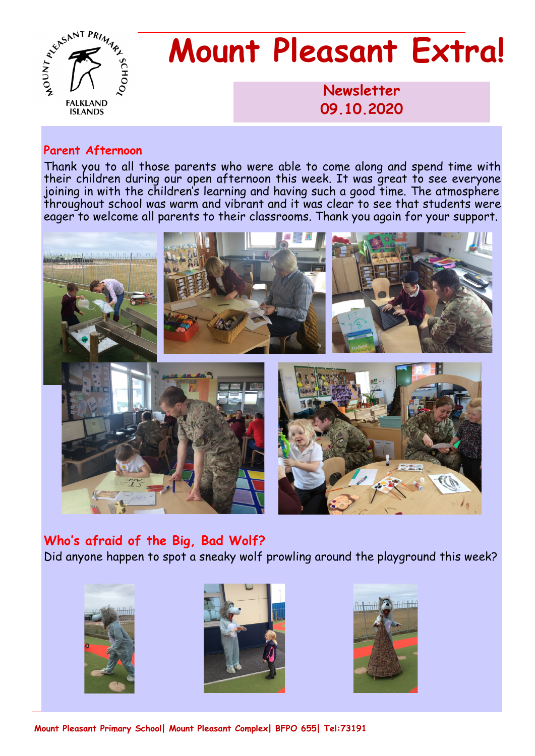

**Newsletter 1986 09.10.2020** 

#### **Parent Afternoon**

Thank you to all those parents who were able to come along and spend time with their children during our open afternoon this week. It was great to see everyone joining in with the children's learning and having such a good time. The atmosphere throughout school was warm and vibrant and it was clear to see that students were eager to welcome all parents to their classrooms. Thank you again for your support.



**Who's afraid of the Big, Bad Wolf?** Did anyone happen to spot a sneaky wolf prowling around the playground this week?







**Mount Pleasant Primary School| Mount Pleasant Complex| BFPO 655| Tel:73191**